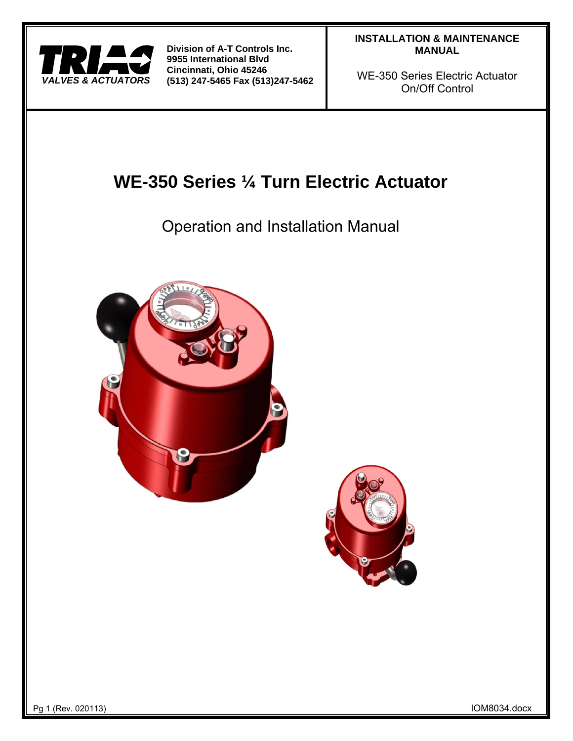

# **INSTALLATION & MAINTENANCE MANUAL**

WE-350 Series Electric Actuator On/Off Control

# **WE-350 Series ¼ Turn Electric Actuator**

Operation and Installation Manual





Pg 1 (Rev. 020113) IOM8034.docx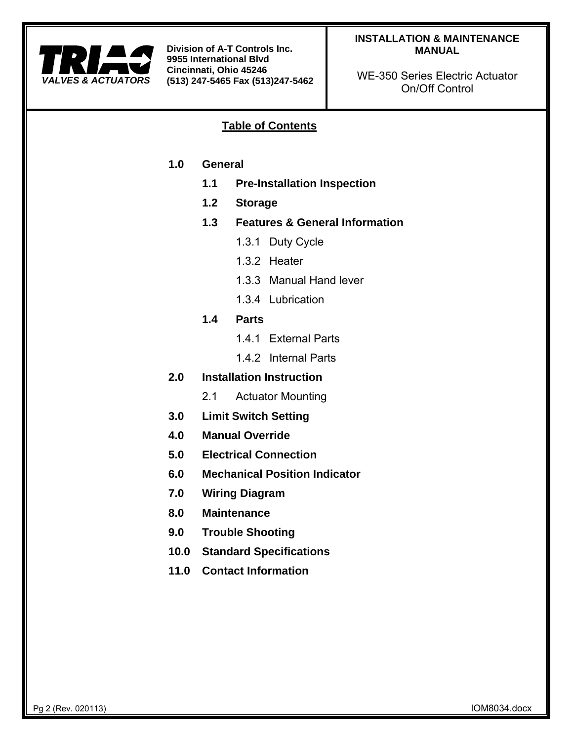

# **INSTALLATION & MAINTENANCE MANUAL**

WE-350 Series Electric Actuator On/Off Control

# **Table of Contents**

- **1.0 General** 
	- **1.1 Pre-Installation Inspection**
	- **1.2 Storage**
	- **1.3 Features & General Information** 
		- 1.3.1 Duty Cycle
		- 1.3.2 Heater
		- 1.3.3 Manual Hand lever
		- 1.3.4 Lubrication
	- **1.4 Parts** 
		- 1.4.1 External Parts
		- 1.4.2 Internal Parts
- **2.0 Installation Instruction** 
	- 2.1 Actuator Mounting
- **3.0 Limit Switch Setting**
- **4.0 Manual Override**
- **5.0 Electrical Connection**
- **6.0 Mechanical Position Indicator**
- **7.0 Wiring Diagram**
- **8.0 Maintenance**
- **9.0 Trouble Shooting**
- **10.0 Standard Specifications**
- **11.0 Contact Information**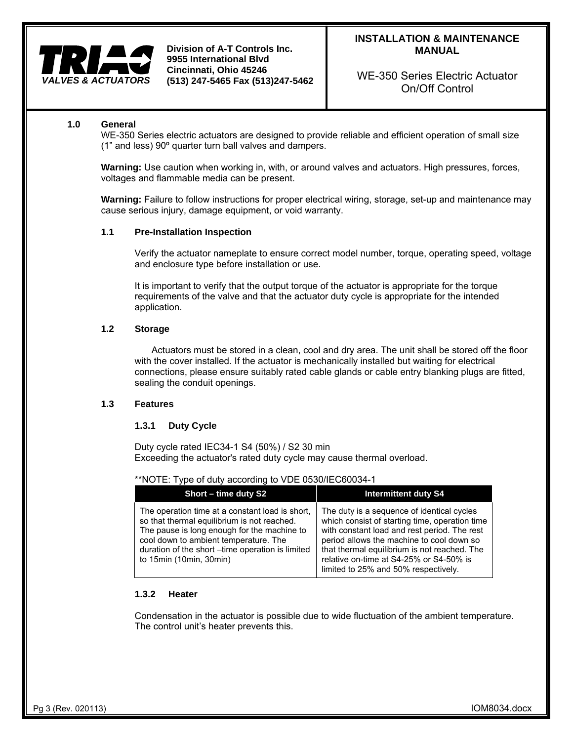

WE-350 Series Electric Actuator On/Off Control

# **1.0 General**

WE-350 Series electric actuators are designed to provide reliable and efficient operation of small size (1" and less) 90º quarter turn ball valves and dampers.

**Warning:** Use caution when working in, with, or around valves and actuators. High pressures, forces, voltages and flammable media can be present.

**Warning:** Failure to follow instructions for proper electrical wiring, storage, set-up and maintenance may cause serious injury, damage equipment, or void warranty.

#### **1.1 Pre-Installation Inspection**

Verify the actuator nameplate to ensure correct model number, torque, operating speed, voltage and enclosure type before installation or use.

It is important to verify that the output torque of the actuator is appropriate for the torque requirements of the valve and that the actuator duty cycle is appropriate for the intended application.

#### **1.2 Storage**

Actuators must be stored in a clean, cool and dry area. The unit shall be stored off the floor with the cover installed. If the actuator is mechanically installed but waiting for electrical connections, please ensure suitably rated cable glands or cable entry blanking plugs are fitted, sealing the conduit openings.

#### **1.3 Features**

#### **1.3.1 Duty Cycle**

Duty cycle rated IEC34-1 S4 (50%) / S2 30 min Exceeding the actuator's rated duty cycle may cause thermal overload.

#### \*\*NOTE: Type of duty according to VDE 0530/IEC60034-1

| Short - time duty S2                                                                                                                                                                                                                                                  | <b>Intermittent duty S4</b>                                                                                                                                                                                                                                                                                                  |
|-----------------------------------------------------------------------------------------------------------------------------------------------------------------------------------------------------------------------------------------------------------------------|------------------------------------------------------------------------------------------------------------------------------------------------------------------------------------------------------------------------------------------------------------------------------------------------------------------------------|
| The operation time at a constant load is short,<br>so that thermal equilibrium is not reached.<br>The pause is long enough for the machine to<br>cool down to ambient temperature. The<br>duration of the short -time operation is limited<br>to 15min (10min, 30min) | The duty is a sequence of identical cycles<br>which consist of starting time, operation time<br>with constant load and rest period. The rest<br>period allows the machine to cool down so<br>that thermal equilibrium is not reached. The<br>relative on-time at S4-25% or S4-50% is<br>limited to 25% and 50% respectively. |

#### **1.3.2 Heater**

Condensation in the actuator is possible due to wide fluctuation of the ambient temperature. The control unit's heater prevents this.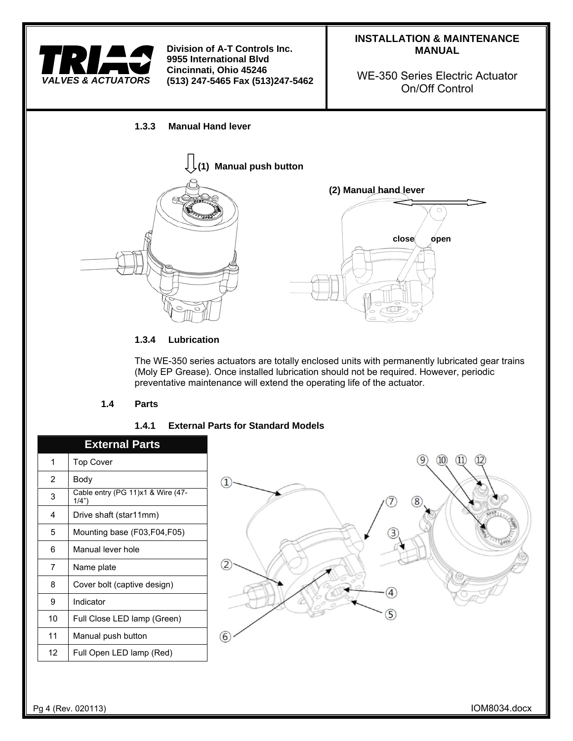

# **INSTALLATION & MAINTENANCE MANUAL**

WE-350 Series Electric Actuator On/Off Control

# **1.3.3 Manual Hand lever**



# **1.3.4 Lubrication**

The WE-350 series actuators are totally enclosed units with permanently lubricated gear trains (Moly EP Grease). Once installed lubrication should not be required. However, periodic preventative maintenance will extend the operating life of the actuator.

# **1.4 Parts**

# **1.4.1 External Parts for Standard Models**

|                | <b>External Parts</b>                      |
|----------------|--------------------------------------------|
| 1              | <b>Top Cover</b>                           |
| $\overline{2}$ | Body                                       |
| 3              | Cable entry (PG 11)x1 & Wire (47-<br>1/4") |
| 4              | Drive shaft (star11mm)                     |
| 5              | Mounting base (F03,F04,F05)                |
| 6              | Manual lever hole                          |
| 7              | Name plate                                 |
| 8              | Cover bolt (captive design)                |
| 9              | Indicator                                  |
| 10             | Full Close LED lamp (Green)                |
| 11             | Manual push button                         |
| 12             | Full Open LED lamp (Red)                   |
|                |                                            |

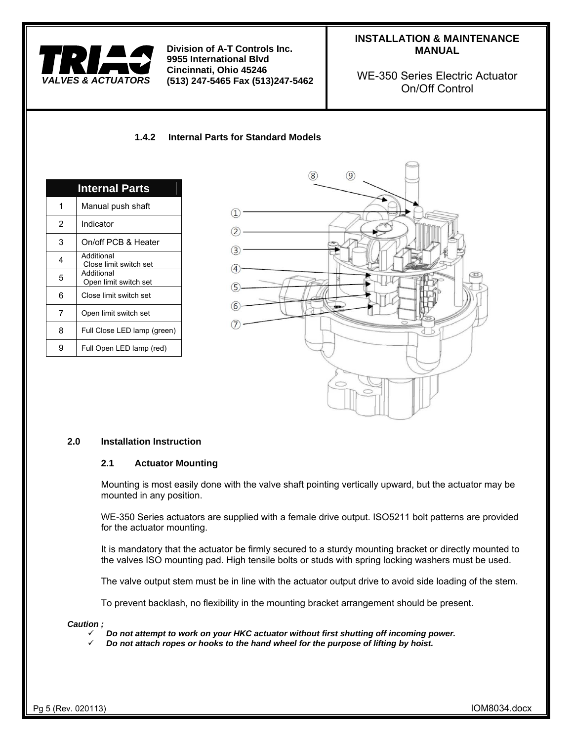

# **INSTALLATION & MAINTENANCE MANUAL**

WE-350 Series Electric Actuator On/Off Control

# **1.4.2 Internal Parts for Standard Models**

|   | <b>Internal Parts</b>                |
|---|--------------------------------------|
| 1 | Manual push shaft                    |
| 2 | Indicator                            |
| 3 | On/off PCB & Heater                  |
| 4 | Additional<br>Close limit switch set |
| 5 | Additional<br>Open limit switch set  |
| 6 | Close limit switch set               |
| 7 | Open limit switch set                |
| 8 | Full Close LED lamp (green)          |
| g | Full Open LED lamp (red)             |



#### **2.0 Installation Instruction**

#### **2.1 Actuator Mounting**

Mounting is most easily done with the valve shaft pointing vertically upward, but the actuator may be mounted in any position.

WE-350 Series actuators are supplied with a female drive output. ISO5211 bolt patterns are provided for the actuator mounting.

It is mandatory that the actuator be firmly secured to a sturdy mounting bracket or directly mounted to the valves ISO mounting pad. High tensile bolts or studs with spring locking washers must be used.

The valve output stem must be in line with the actuator output drive to avoid side loading of the stem.

To prevent backlash, no flexibility in the mounting bracket arrangement should be present.

#### *Caution ;*

- *Do not attempt to work on your HKC actuator without first shutting off incoming power.*
- *Do not attach ropes or hooks to the hand wheel for the purpose of lifting by hoist.*

Pg 5 (Rev. 020113) IOM8034.docx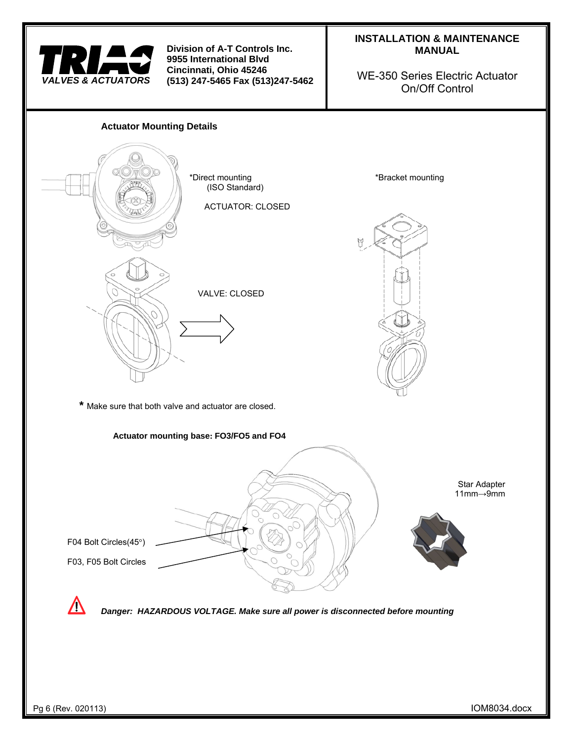

# **INSTALLATION & MAINTENANCE MANUAL**

WE-350 Series Electric Actuator On/Off Control

# **Actuator Mounting Details**  \*Direct mounting \*Bracket mounting (ISO Standard) ACTUATOR: CLOSED VALVE: CLOSED **\*** Make sure that both valve and actuator are closed. **Actuator mounting base: FO3/FO5 and FO4**  Star Adapter 11mm→9mm F04 Bolt Circles(45°) F03, F05 Bolt Circles  $\sqrt{N}$  *Danger: HAZARDOUS VOLTAGE. Make sure all power is disconnected before mounting*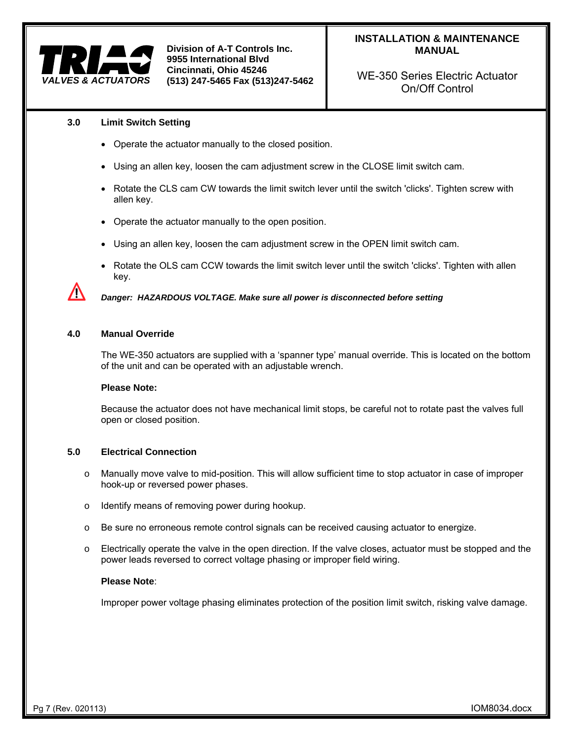

**INSTALLATION & MAINTENANCE MANUAL** 

WE-350 Series Electric Actuator On/Off Control

#### **3.0 Limit Switch Setting**

- Operate the actuator manually to the closed position.
- Using an allen key, loosen the cam adjustment screw in the CLOSE limit switch cam.
- Rotate the CLS cam CW towards the limit switch lever until the switch 'clicks'. Tighten screw with allen key.
- Operate the actuator manually to the open position.
- Using an allen key, loosen the cam adjustment screw in the OPEN limit switch cam.
- Rotate the OLS cam CCW towards the limit switch lever until the switch 'clicks'. Tighten with allen key.

 *Danger: HAZARDOUS VOLTAGE. Make sure all power is disconnected before setting*

#### **4.0 Manual Override**

ΛŊ

The WE-350 actuators are supplied with a 'spanner type' manual override. This is located on the bottom of the unit and can be operated with an adjustable wrench.

#### **Please Note:**

Because the actuator does not have mechanical limit stops, be careful not to rotate past the valves full open or closed position.

#### **5.0 Electrical Connection**

- o Manually move valve to mid-position. This will allow sufficient time to stop actuator in case of improper hook-up or reversed power phases.
- o Identify means of removing power during hookup.
- $\circ$  Be sure no erroneous remote control signals can be received causing actuator to energize.
- $\circ$  Electrically operate the valve in the open direction. If the valve closes, actuator must be stopped and the power leads reversed to correct voltage phasing or improper field wiring.

# **Please Note**:

Improper power voltage phasing eliminates protection of the position limit switch, risking valve damage.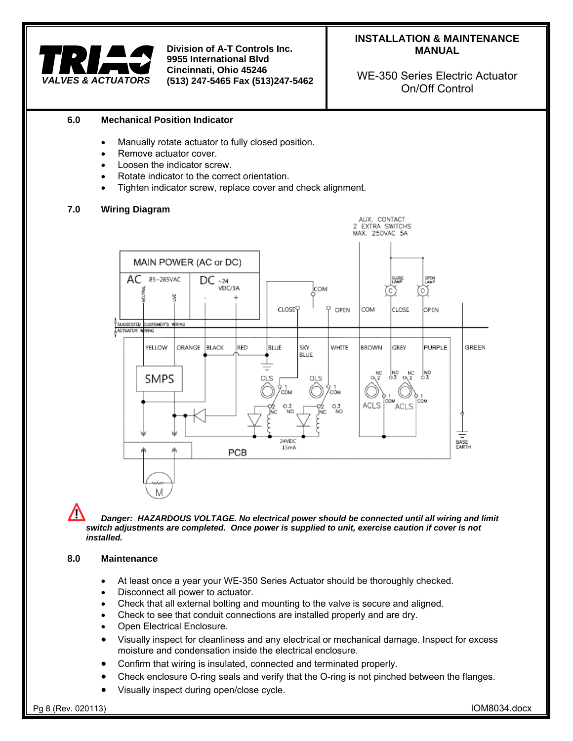

WE-350 Series Electric Actuator On/Off Control

# **6.0 Mechanical Position Indicator**

- Manually rotate actuator to fully closed position.
- Remove actuator cover.
- Loosen the indicator screw.
- Rotate indicator to the correct orientation.
- Tighten indicator screw, replace cover and check alignment.

# **7.0 Wiring Diagram**



M  *Danger: HAZARDOUS VOLTAGE. No electrical power should be connected until all wiring and limit switch adjustments are completed. Once power is supplied to unit, exercise caution if cover is not installed.* 

#### **8.0 Maintenance**

- At least once a year your WE-350 Series Actuator should be thoroughly checked.
- Disconnect all power to actuator.
- Check that all external bolting and mounting to the valve is secure and aligned.
- Check to see that conduit connections are installed properly and are dry.
- Open Electrical Enclosure.
- Visually inspect for cleanliness and any electrical or mechanical damage. Inspect for excess moisture and condensation inside the electrical enclosure.
- Confirm that wiring is insulated, connected and terminated properly.
- Check enclosure O-ring seals and verify that the O-ring is not pinched between the flanges.
- Visually inspect during open/close cycle.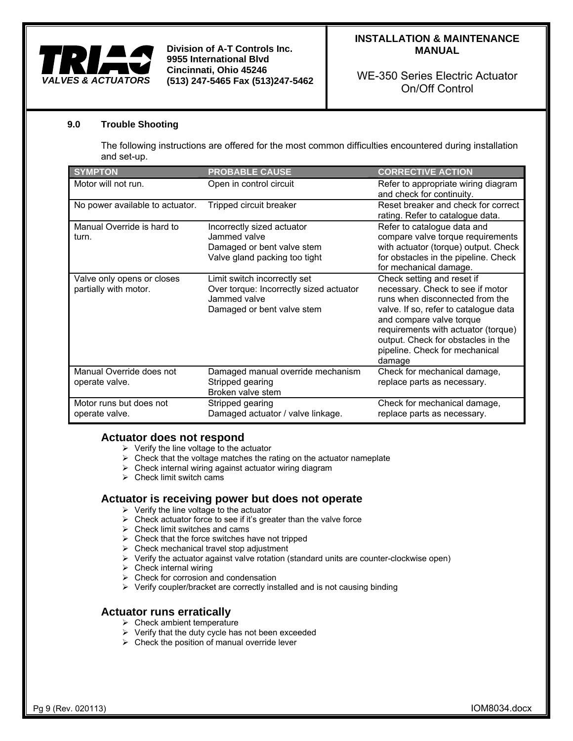

# **INSTALLATION & MAINTENANCE MANUAL**

WE-350 Series Electric Actuator On/Off Control

# **9.0 Trouble Shooting**

The following instructions are offered for the most common difficulties encountered during installation and set-up.

| <b>SYMPTON</b>                                      | <b>PROBABLE CAUSE</b>                                                                                                 | <b>CORRECTIVE ACTION</b>                                                                                                                                                                                                                                                                        |
|-----------------------------------------------------|-----------------------------------------------------------------------------------------------------------------------|-------------------------------------------------------------------------------------------------------------------------------------------------------------------------------------------------------------------------------------------------------------------------------------------------|
| Motor will not run.                                 | Open in control circuit                                                                                               | Refer to appropriate wiring diagram<br>and check for continuity.                                                                                                                                                                                                                                |
| No power available to actuator.                     | Tripped circuit breaker                                                                                               | Reset breaker and check for correct<br>rating. Refer to catalogue data.                                                                                                                                                                                                                         |
| Manual Override is hard to<br>turn.                 | Incorrectly sized actuator<br>Jammed valve<br>Damaged or bent valve stem<br>Valve gland packing too tight             | Refer to catalogue data and<br>compare valve torque requirements<br>with actuator (torque) output. Check<br>for obstacles in the pipeline. Check<br>for mechanical damage.                                                                                                                      |
| Valve only opens or closes<br>partially with motor. | Limit switch incorrectly set<br>Over torque: Incorrectly sized actuator<br>Jammed valve<br>Damaged or bent valve stem | Check setting and reset if<br>necessary. Check to see if motor<br>runs when disconnected from the<br>valve. If so, refer to catalogue data<br>and compare valve torque<br>requirements with actuator (torque)<br>output. Check for obstacles in the<br>pipeline. Check for mechanical<br>damage |
| Manual Override does not<br>operate valve.          | Damaged manual override mechanism<br>Stripped gearing<br>Broken valve stem                                            | Check for mechanical damage,<br>replace parts as necessary.                                                                                                                                                                                                                                     |
| Motor runs but does not<br>operate valve.           | Stripped gearing<br>Damaged actuator / valve linkage.                                                                 | Check for mechanical damage,<br>replace parts as necessary.                                                                                                                                                                                                                                     |

# **Actuator does not respond**

- $\triangleright$  Verify the line voltage to the actuator
- $\triangleright$  Check that the voltage matches the rating on the actuator nameplate
- $\triangleright$  Check internal wiring against actuator wiring diagram
- $\triangleright$  Check limit switch cams

# **Actuator is receiving power but does not operate**

- $\triangleright$  Verify the line voltage to the actuator
- $\triangleright$  Check actuator force to see if it's greater than the valve force
- $\triangleright$  Check limit switches and cams
- $\triangleright$  Check that the force switches have not tripped
- $\triangleright$  Check mechanical travel stop adjustment
- $\triangleright$  Verify the actuator against valve rotation (standard units are counter-clockwise open)
- $\triangleright$  Check internal wiring
- $\triangleright$  Check for corrosion and condensation
- $\triangleright$  Verify coupler/bracket are correctly installed and is not causing binding

# **Actuator runs erratically**

- $\triangleright$  Check ambient temperature
- $\triangleright$  Verify that the duty cycle has not been exceeded
- $\triangleright$  Check the position of manual override lever